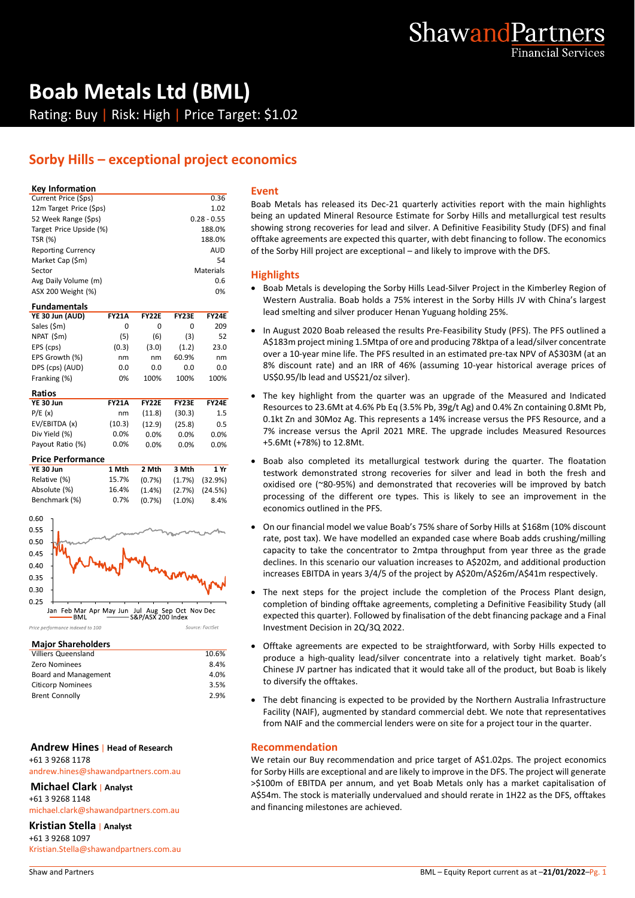

# **Boab Metals Ltd (BML)** Rating: Buy | Risk: High | Price Target: \$1.02

# **Sorby Hills – exceptional project economics**

#### **Key Information**

| Current Price (\$ps)      | 0.36          |   |
|---------------------------|---------------|---|
| 12m Target Price (\$ps)   | 1.02          |   |
| 52 Week Range (\$ps)      | $0.28 - 0.55$ |   |
| Target Price Upside (%)   | 188.0%        | S |
| <b>TSR (%)</b>            | 188.0%        | O |
| <b>Reporting Currency</b> | <b>AUD</b>    | O |
| Market Cap (\$m)          | 54            |   |
| Sector                    | Materials     |   |
| Avg Daily Volume (m)      | 0.6           |   |
| ASX 200 Weight (%)        | 0%            |   |
|                           |               |   |

# **Fundamentals**

| <b>FY21A</b> | <b>FY22E</b> | <b>FY23E</b> | <b>FY24E</b> |  |
|--------------|--------------|--------------|--------------|--|
| 0            | O            | O            | 209          |  |
| (5)          | (6)          | (3)          | 52           |  |
| (0.3)        | (3.0)        | (1.2)        | 23.0         |  |
| nm           | nm           | 60.9%        | nm           |  |
| 0.0          | 0.0          | 0.0          | 0.0          |  |
| 0%           | 100%         | 100%         | 100%         |  |
|              |              |              |              |  |

| Ratios           |              |              |              |              |
|------------------|--------------|--------------|--------------|--------------|
| YE 30 Jun        | <b>FY21A</b> | <b>FY22E</b> | <b>FY23F</b> | <b>FY24E</b> |
| P/E(x)           | nm           | (11.8)       | (30.3)       | 1.5          |
| EV/EBITDA (x)    | (10.3)       | (12.9)       | (25.8)       | 0.5          |
| Div Yield (%)    | 0.0%         | $0.0\%$      | 0.0%         | 0.0%         |
| Payout Ratio (%) | 0.0%         | 0.0%         | 0.0%         | $0.0\%$      |

#### **Price Performance**

| YE 30 Jun     | 1 Mth | 2 Mth                          | 3 Mth                          | 1 Yr |
|---------------|-------|--------------------------------|--------------------------------|------|
| Relative (%)  | 15.7% |                                | $(0.7\%)$ $(1.7\%)$ $(32.9\%)$ |      |
| Absolute (%)  | 16.4% | $(1.4\%)$ $(2.7\%)$ $(24.5\%)$ |                                |      |
| Benchmark (%) | 0.7%  | $(0.7\%)$                      | $(1.0\%)$                      | 8.4% |



#### **Major Shareholders**

| <b>Villiers Queensland</b> | 10.6% |
|----------------------------|-------|
| <b>Zero Nominees</b>       | 8.4%  |
| Board and Management       | 4.0%  |
| <b>Citicorp Nominees</b>   | 3.5%  |
| <b>Brent Connolly</b>      | 2.9%  |
|                            |       |

#### **Andrew Hines** | **Head of Research** +61 3 9268 1178

andrew.hines@shawandpartners.com.au

### **Michael Clark** | **Analyst**

+61 3 9268 1148

michael.clark@shawandpartners.com.au

## **Kristian Stella** | **Analyst**

+61 3 9268 1097 Kristian.Stella@shawandpartners.com.au

#### **Event**

Boab Metals has released its Dec-21 quarterly activities report with the main highlights being an updated Mineral Resource Estimate for Sorby Hills and metallurgical test results showing strong recoveries for lead and silver. A Definitive Feasibility Study (DFS) and final offtake agreements are expected this quarter, with debt financing to follow. The economics of the Sorby Hill project are exceptional – and likely to improve with the DFS.

## **Highlights**

- Boab Metals is developing the Sorby Hills Lead-Silver Project in the Kimberley Region of Western Australia. Boab holds a 75% interest in the Sorby Hills JV with China's largest lead smelting and silver producer Henan Yuguang holding 25%.
- In August 2020 Boab released the results Pre-Feasibility Study (PFS). The PFS outlined a A\$183m project mining 1.5Mtpa of ore and producing 78ktpa of a lead/silver concentrate over a 10-year mine life. The PFS resulted in an estimated pre-tax NPV of A\$303M (at an 8% discount rate) and an IRR of 46% (assuming 10-year historical average prices of US\$0.95/lb lead and US\$21/oz silver).
- The key highlight from the quarter was an upgrade of the Measured and Indicated Resources to 23.6Mt at 4.6% Pb Eq (3.5% Pb, 39g/t Ag) and 0.4% Zn containing 0.8Mt Pb, 0.1kt Zn and 30Moz Ag. This represents a 14% increase versus the PFS Resource, and a 7% increase versus the April 2021 MRE. The upgrade includes Measured Resources +5.6Mt (+78%) to 12.8Mt.
- Boab also completed its metallurgical testwork during the quarter. The floatation testwork demonstrated strong recoveries for silver and lead in both the fresh and oxidised ore (~80-95%) and demonstrated that recoveries will be improved by batch processing of the different ore types. This is likely to see an improvement in the economics outlined in the PFS.
- On our financial model we value Boab's 75% share of Sorby Hills at \$168m (10% discount rate, post tax). We have modelled an expanded case where Boab adds crushing/milling capacity to take the concentrator to 2mtpa throughput from year three as the grade declines. In this scenario our valuation increases to A\$202m, and additional production increases EBITDA in years 3/4/5 of the project by A\$20m/A\$26m/A\$41m respectively.
- The next steps for the project include the completion of the Process Plant design, completion of binding offtake agreements, completing a Definitive Feasibility Study (all expected this quarter). Followed by finalisation of the debt financing package and a Final Investment Decision in 2Q/3Q 2022.
- Offtake agreements are expected to be straightforward, with Sorby Hills expected to produce a high-quality lead/silver concentrate into a relatively tight market. Boab's Chinese JV partner has indicated that it would take all of the product, but Boab is likely to diversify the offtakes.
- The debt financing is expected to be provided by the Northern Australia Infrastructure Facility (NAIF), augmented by standard commercial debt. We note that representatives from NAIF and the commercial lenders were on site for a project tour in the quarter.

#### **Recommendation**

We retain our Buy recommendation and price target of A\$1.02ps. The project economics for Sorby Hills are exceptional and are likely to improve in the DFS. The project will generate >\$100m of EBITDA per annum, and yet Boab Metals only has a market capitalisation of A\$54m. The stock is materially undervalued and should rerate in 1H22 as the DFS, offtakes and financing milestones are achieved.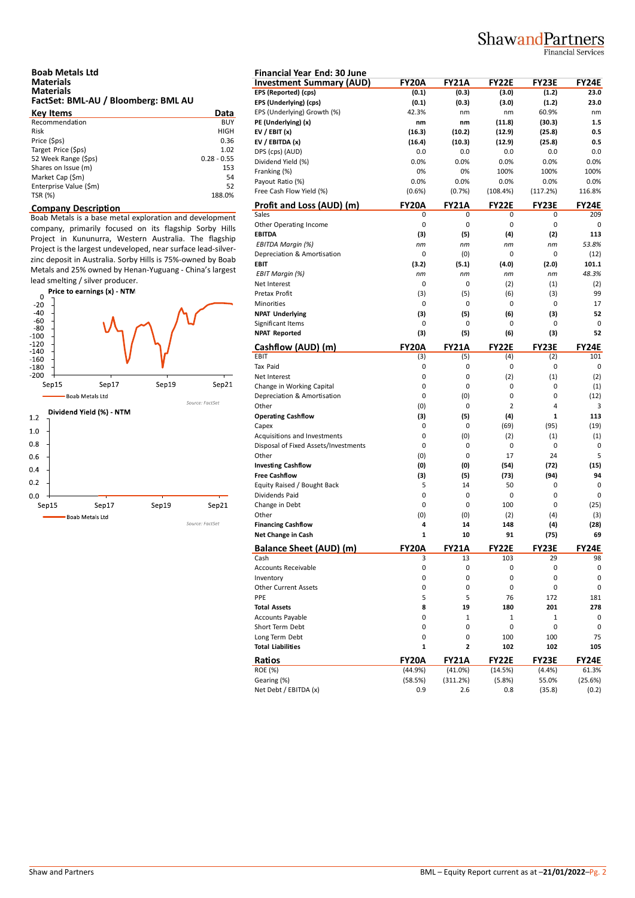# ShawandPartners

**Financial Services** 

| <b>Boab Metals Ltd</b>              |  |
|-------------------------------------|--|
| <b>Materials</b>                    |  |
| <b>Materials</b>                    |  |
| FactSet: BML-AU / Bloomberg: BML AU |  |

| <b>Key Items</b>       | Data          | EP. |
|------------------------|---------------|-----|
| Recommendation         | BUY           | PE  |
| <b>Risk</b>            | <b>HIGH</b>   | EV  |
| Price (\$ps)           | 0.36          | EV  |
| Target Price (\$ps)    | 1.02          | DP  |
| 52 Week Range (\$ps)   | $0.28 - 0.55$ | Di  |
| Shares on Issue (m)    | 153           | Fra |
| Market Cap (\$m)       | 54            | Pa  |
| Enterprise Value (\$m) | 52            |     |
| TSR (%)                | 188.0%        | Fre |

## **Company Description**

Boab Metals is a base metal exploration and development company, primarily focused on its flagship Sorby Hills Project in Kununurra, Western Australia. The flagship Project is the largest undeveloped, near surface lead-silverzinc deposit in Australia. Sorby Hills is 75%-owned by Boab Metals and 25% owned by Henan-Yuguang - China's largest



| <b>Financial Year End: 30 June</b>                       |              |              |                |              |              |
|----------------------------------------------------------|--------------|--------------|----------------|--------------|--------------|
| <b>Investment Summary (AUD)</b>                          | <b>FY20A</b> | <b>FY21A</b> | <b>FY22E</b>   | <b>FY23E</b> | <b>FY24E</b> |
| EPS (Reported) (cps)                                     | (0.1)        | (0.3)        | (3.0)          | (1.2)        | 23.0         |
| EPS (Underlying) (cps)                                   | (0.1)        | (0.3)        | (3.0)          | (1.2)        | 23.0         |
| EPS (Underlying) Growth (%)                              | 42.3%        | nm           | nm             | 60.9%        | nm           |
| PE (Underlying) (x)                                      | nm           | nm           | (11.8)         | (30.3)       | 1.5          |
| EV / EBIT $(x)$                                          | (16.3)       | (10.2)       | (12.9)         | (25.8)       | 0.5          |
| EV / EBITDA (x)                                          | (16.4)       | (10.3)       | (12.9)         | (25.8)       | 0.5          |
| DPS (cps) (AUD)                                          | 0.0          | 0.0          | 0.0            | 0.0          | 0.0          |
| Dividend Yield (%)                                       | 0.0%         | 0.0%         | 0.0%           | 0.0%         | 0.0%         |
| Franking (%)                                             | 0%           | 0%           | 100%           | 100%         | 100%         |
| Payout Ratio (%)                                         | 0.0%         | 0.0%         | 0.0%           | 0.0%         | 0.0%         |
| Free Cash Flow Yield (%)                                 | $(0.6\%)$    | (0.7%)       | (108.4%)       | (117.2%)     | 116.8%       |
| Profit and Loss (AUD) (m)                                | <b>FY20A</b> | <b>FY21A</b> | <b>FY22E</b>   | <b>FY23E</b> | <b>FY24E</b> |
| Sales                                                    | 0            | 0            | 0              | 0            | 209          |
| Other Operating Income                                   | 0            | 0            | 0              | 0            | 0            |
| <b>EBITDA</b>                                            | (3)          | (5)          | (4)            | (2)          | 113          |
| EBITDA Margin (%)                                        | nm           | nm           | nm             | nm           | 53.8%        |
| Depreciation & Amortisation                              | 0            | (0)          | 0              | 0            | (12)         |
| EBIT                                                     | (3.2)        | (5.1)        | (4.0)          | (2.0)        | 101.1        |
| <b>EBIT Margin (%)</b>                                   | nm           | пm           | nm             | nm           | 48.3%        |
| Net Interest                                             | 0            | 0            | (2)            | (1)          | (2)          |
| Pretax Profit                                            | (3)          | (5)          | (6)            | (3)          | 99           |
| Minorities                                               | 0            | 0            | 0              | 0            | 17           |
| <b>NPAT Underlying</b>                                   | (3)          | (5)          | (6)            | (3)          | 52           |
| Significant Items                                        | 0            | 0            | 0              | 0            | 0            |
| <b>NPAT Reported</b>                                     | (3)          | (5)          | (6)            | (3)          | 52           |
| Cashflow (AUD) (m)                                       | <b>FY20A</b> | <b>FY21A</b> | <b>FY22E</b>   | <b>FY23E</b> | <b>FY24E</b> |
| EBIT<br>Tax Paid                                         | (3)          | (5)          | (4)            | (2)          | 101          |
| Net Interest                                             | 0<br>0       | 0<br>0       | 0<br>(2)       | 0<br>(1)     | 0<br>(2)     |
|                                                          | 0            | 0            | 0              | 0            |              |
| Change in Working Capital<br>Depreciation & Amortisation | 0            | (0)          | 0              | 0            | (1)<br>(12)  |
| Other                                                    | (0)          | 0            | $\overline{2}$ | 4            | 3            |
| <b>Operating Cashflow</b>                                | (3)          | (5)          | (4)            | 1            | 113          |
| Capex                                                    | 0            | 0            | (69)           | (95)         | (19)         |
| Acquisitions and Investments                             | 0            | (0)          | (2)            | (1)          | (1)          |
| Disposal of Fixed Assets/Investments                     | 0            | 0            | 0              | 0            | 0            |
| Other                                                    | (0)          | 0            | 17             | 24           | 5            |
| <b>Investing Cashflow</b>                                | (0)          | (0)          | (54)           | (72)         | (15)         |
| <b>Free Cashflow</b>                                     | (3)          | (5)          | (73)           | (94)         | 94           |
| Equity Raised / Bought Back                              | 5            | 14           | 50             | 0            | 0            |
| Dividends Paid                                           | 0            | 0            | 0              | 0            | 0            |
| Change in Debt                                           | 0            | 0            | 100            | 0            | (25)         |
| Other                                                    | (0)          | (0)          | (2)            | (4)          | (3)          |
| <b>Financing Cashflow</b>                                | 4            | 14           | 148            | (4)          | (28)         |
| Net Change in Cash                                       | 1            | 10           | 91             | (75)         | 69           |
| <b>Balance Sheet (AUD) (m)</b>                           | <b>FY20A</b> | <b>FY21A</b> | <b>FY22E</b>   | FY23E        | <b>FY24E</b> |
| Cash                                                     | 3            | 13           | 103            | 29           | 98           |
| <b>Accounts Receivable</b>                               | 0            | 0            | 0              | 0            | 0            |
| Inventory                                                | 0            | 0            | 0              | 0            | 0            |
| <b>Other Current Assets</b>                              | 0            | 0            | 0              | 0            | 0            |
| PPE                                                      | 5            | 5            | 76             | 172          | 181          |
| <b>Total Assets</b>                                      | 8            | 19           | 180            | 201          | 278          |
| Accounts Payable                                         | 0            | $\mathbf 1$  | 1              | $\mathbf{1}$ | 0            |
| Short Term Debt                                          | 0            | 0            | 0              | 0            | 0            |
| Long Term Debt                                           | 0            | 0            | 100            | 100          | 75           |
| <b>Total Liabilities</b>                                 | 1            | 2            | 102            | 102          | 105          |
| Ratios                                                   | <b>FY20A</b> | <b>FY21A</b> | <b>FY22E</b>   | FY23E        | FY24E        |
| ROE (%)                                                  | (44.9%)      | (41.0%)      | (14.5%)        | (4.4%)       | 61.3%        |
| Gearing (%)                                              | (58.5%)      | (311.2%)     | (5.8%)         | 55.0%        | (25.6%)      |
| Net Debt / EBITDA (x)                                    | 0.9          | 2.6          | 0.8            | (35.8)       | (0.2)        |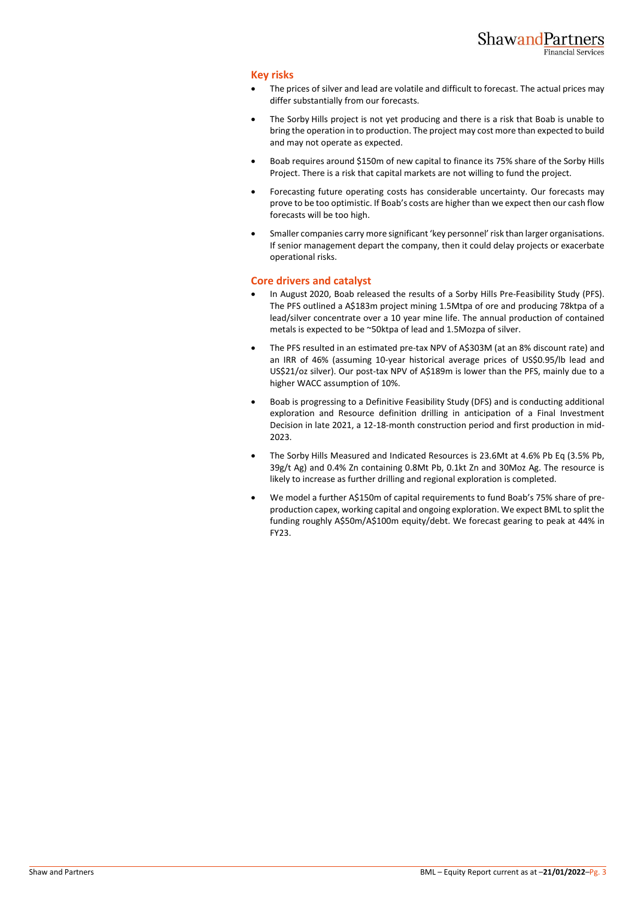## **Key risks**

- The prices of silver and lead are volatile and difficult to forecast. The actual prices may differ substantially from our forecasts.
- The Sorby Hills project is not yet producing and there is a risk that Boab is unable to bring the operation in to production. The project may cost more than expected to build and may not operate as expected.
- Boab requires around \$150m of new capital to finance its 75% share of the Sorby Hills Project. There is a risk that capital markets are not willing to fund the project.
- Forecasting future operating costs has considerable uncertainty. Our forecasts may prove to be too optimistic. If Boab's costs are higher than we expect then our cash flow forecasts will be too high.
- Smaller companies carry more significant 'key personnel' risk than larger organisations. If senior management depart the company, then it could delay projects or exacerbate operational risks.

## **Core drivers and catalyst**

- In August 2020, Boab released the results of a Sorby Hills Pre-Feasibility Study (PFS). The PFS outlined a A\$183m project mining 1.5Mtpa of ore and producing 78ktpa of a lead/silver concentrate over a 10 year mine life. The annual production of contained metals is expected to be ~50ktpa of lead and 1.5Mozpa of silver.
- The PFS resulted in an estimated pre-tax NPV of A\$303M (at an 8% discount rate) and an IRR of 46% (assuming 10-year historical average prices of US\$0.95/lb lead and US\$21/oz silver). Our post-tax NPV of A\$189m is lower than the PFS, mainly due to a higher WACC assumption of 10%.
- Boab is progressing to a Definitive Feasibility Study (DFS) and is conducting additional exploration and Resource definition drilling in anticipation of a Final Investment Decision in late 2021, a 12-18-month construction period and first production in mid-2023.
- The Sorby Hills Measured and Indicated Resources is 23.6Mt at 4.6% Pb Eq (3.5% Pb, 39g/t Ag) and 0.4% Zn containing 0.8Mt Pb, 0.1kt Zn and 30Moz Ag. The resource is likely to increase as further drilling and regional exploration is completed.
- We model a further A\$150m of capital requirements to fund Boab's 75% share of preproduction capex, working capital and ongoing exploration. We expect BML to split the funding roughly A\$50m/A\$100m equity/debt. We forecast gearing to peak at 44% in FY23.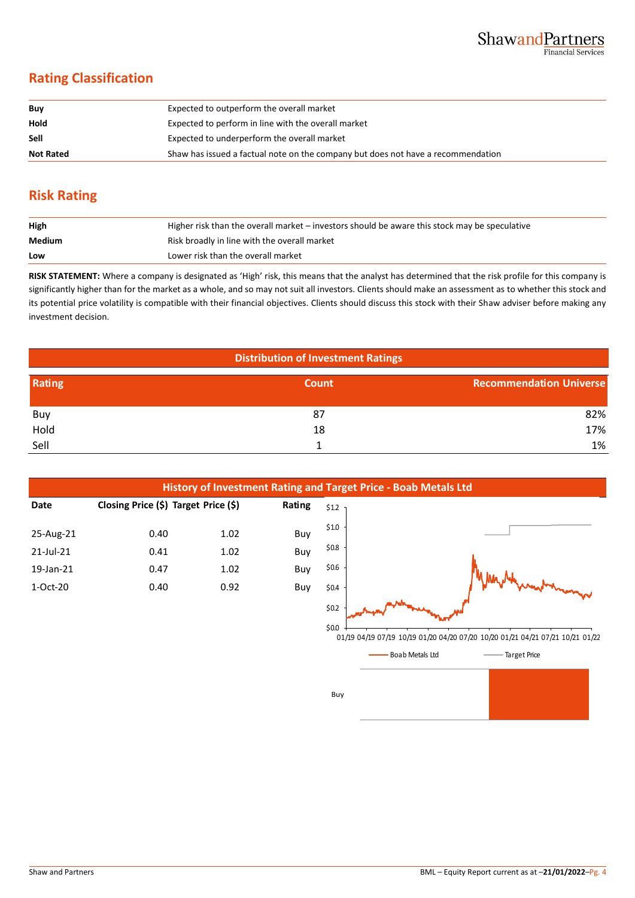# **Rating Classification**

| Buy              | Expected to outperform the overall market                                        |
|------------------|----------------------------------------------------------------------------------|
| Hold             | Expected to perform in line with the overall market                              |
| Sell             | Expected to underperform the overall market                                      |
| <b>Not Rated</b> | Shaw has issued a factual note on the company but does not have a recommendation |

# **Risk Rating**

| High   | Higher risk than the overall market – investors should be aware this stock may be speculative |
|--------|-----------------------------------------------------------------------------------------------|
| Medium | Risk broadly in line with the overall market                                                  |
| Low    | Lower risk than the overall market                                                            |

**RISK STATEMENT:** Where a company is designated as 'High' risk, this means that the analyst has determined that the risk profile for this company is significantly higher than for the market as a whole, and so may not suit all investors. Clients should make an assessment as to whether this stock and its potential price volatility is compatible with their financial objectives. Clients should discuss this stock with their Shaw adviser before making any investment decision.

| <b>Distribution of Investment Ratings</b> |       |                                |  |  |
|-------------------------------------------|-------|--------------------------------|--|--|
| Rating                                    | Count | <b>Recommendation Universe</b> |  |  |
| Buy                                       | 87    | 82%                            |  |  |
| Hold                                      | 18    | 17%                            |  |  |
| Sell                                      |       | 1%                             |  |  |



01/19 04/19 07/19 10/19 01/20 04/20 07/20 10/20 01/21 04/21 07/21 10/21 01/22

Boab Metals Ltd Target Price

Buy